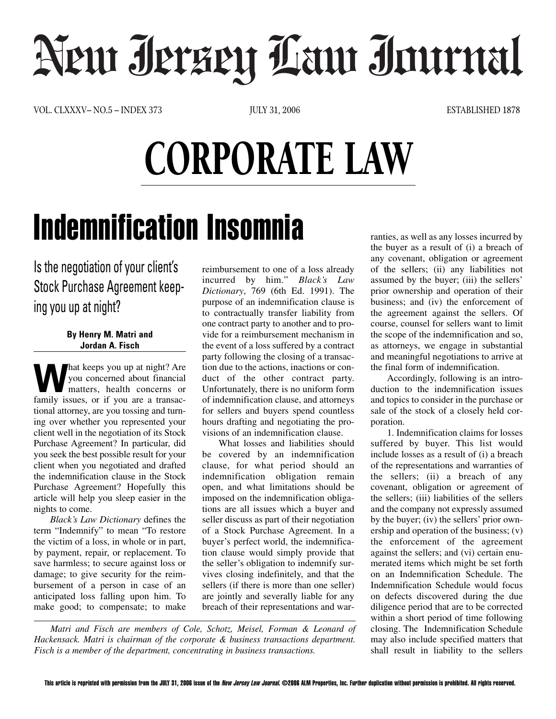## Neur Jerzey Law Journal

VOL. CLXXXV– NO.5 – INDEX 373 JULY 31, 2006 ESTABLISHED 1878

## CORPORATE LAW

## Indemnification Insomnia

Is the negotiation of your client's Stock Purchase Agreement keeping you up at night?

## **By Henry M. Matri and Jordan A. Fisch**

**Washington** we are night? Are you concerned about financial matters, health concerns or family issues or if you are a transacyou concerned about financial matters, health concerns or family issues, or if you are a transactional attorney, are you tossing and turning over whether you represented your client well in the negotiation of its Stock Purchase Agreement? In particular, did you seek the best possible result for your client when you negotiated and drafted the indemnification clause in the Stock Purchase Agreement? Hopefully this article will help you sleep easier in the nights to come.

*Black's Law Dictionary* defines the term "Indemnify" to mean "To restore the victim of a loss, in whole or in part, by payment, repair, or replacement. To save harmless; to secure against loss or damage; to give security for the reimbursement of a person in case of an anticipated loss falling upon him. To make good; to compensate; to make reimbursement to one of a loss already incurred by him." *Black's Law Dictionary*, 769 (6th Ed. 1991). The purpose of an indemnification clause is to contractually transfer liability from one contract party to another and to provide for a reimbursement mechanism in the event of a loss suffered by a contract party following the closing of a transaction due to the actions, inactions or conduct of the other contract party. Unfortunately, there is no uniform form of indemnification clause, and attorneys for sellers and buyers spend countless hours drafting and negotiating the provisions of an indemnification clause.

What losses and liabilities should be covered by an indemnification clause, for what period should an indemnification obligation remain open, and what limitations should be imposed on the indemnification obligations are all issues which a buyer and seller discuss as part of their negotiation of a Stock Purchase Agreement. In a buyer's perfect world, the indemnification clause would simply provide that the seller's obligation to indemnify survives closing indefinitely, and that the sellers (if there is more than one seller) are jointly and severally liable for any breach of their representations and war-

*Matri and Fisch are members of Cole, Schotz, Meisel, Forman & Leonard of Hackensack. Matri is chairman of the corporate & business transactions department. Fisch is a member of the department, concentrating in business transactions.*

ranties, as well as any losses incurred by the buyer as a result of (i) a breach of any covenant, obligation or agreement of the sellers; (ii) any liabilities not assumed by the buyer; (iii) the sellers' prior ownership and operation of their business; and (iv) the enforcement of the agreement against the sellers. Of course, counsel for sellers want to limit the scope of the indemnification and so, as attorneys, we engage in substantial and meaningful negotiations to arrive at the final form of indemnification.

Accordingly, following is an introduction to the indemnification issues and topics to consider in the purchase or sale of the stock of a closely held corporation.

1. Indemnification claims for losses suffered by buyer. This list would include losses as a result of (i) a breach of the representations and warranties of the sellers; (ii) a breach of any covenant, obligation or agreement of the sellers; (iii) liabilities of the sellers and the company not expressly assumed by the buyer; (iv) the sellers' prior ownership and operation of the business; (v) the enforcement of the agreement against the sellers; and (vi) certain enumerated items which might be set forth on an Indemnification Schedule. The Indemnification Schedule would focus on defects discovered during the due diligence period that are to be corrected within a short period of time following closing. The Indemnification Schedule may also include specified matters that shall result in liability to the sellers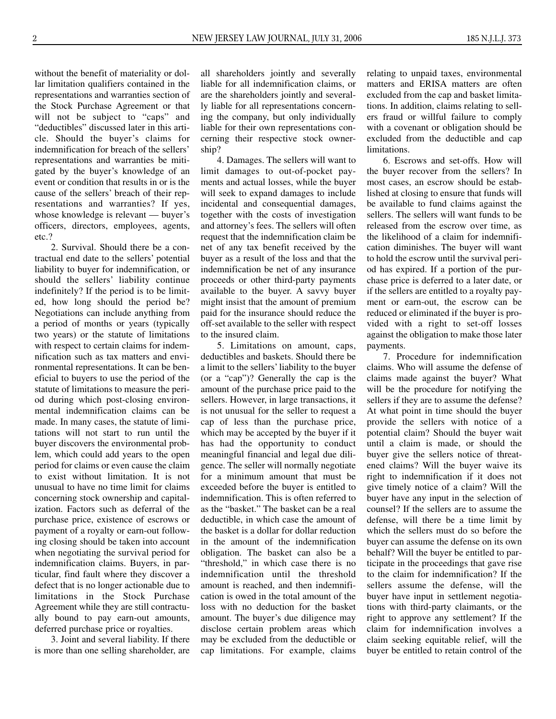without the benefit of materiality or dollar limitation qualifiers contained in the representations and warranties section of the Stock Purchase Agreement or that will not be subject to "caps" and "deductibles" discussed later in this article. Should the buyer's claims for indemnification for breach of the sellers' representations and warranties be mitigated by the buyer's knowledge of an event or condition that results in or is the cause of the sellers' breach of their representations and warranties? If yes, whose knowledge is relevant — buyer's officers, directors, employees, agents, etc.?

2. Survival. Should there be a contractual end date to the sellers' potential liability to buyer for indemnification, or should the sellers' liability continue indefinitely? If the period is to be limited, how long should the period be? Negotiations can include anything from a period of months or years (typically two years) or the statute of limitations with respect to certain claims for indemnification such as tax matters and environmental representations. It can be beneficial to buyers to use the period of the statute of limitations to measure the period during which post-closing environmental indemnification claims can be made. In many cases, the statute of limitations will not start to run until the buyer discovers the environmental problem, which could add years to the open period for claims or even cause the claim to exist without limitation. It is not unusual to have no time limit for claims concerning stock ownership and capitalization. Factors such as deferral of the purchase price, existence of escrows or payment of a royalty or earn-out following closing should be taken into account when negotiating the survival period for indemnification claims. Buyers, in particular, find fault where they discover a defect that is no longer actionable due to limitations in the Stock Purchase Agreement while they are still contractually bound to pay earn-out amounts, deferred purchase price or royalties.

3. Joint and several liability. If there is more than one selling shareholder, are all shareholders jointly and severally liable for all indemnification claims, or are the shareholders jointly and severally liable for all representations concerning the company, but only individually liable for their own representations concerning their respective stock ownership?

4. Damages. The sellers will want to limit damages to out-of-pocket payments and actual losses, while the buyer will seek to expand damages to include incidental and consequential damages, together with the costs of investigation and attorney's fees. The sellers will often request that the indemnification claim be net of any tax benefit received by the buyer as a result of the loss and that the indemnification be net of any insurance proceeds or other third-party payments available to the buyer. A savvy buyer might insist that the amount of premium paid for the insurance should reduce the off-set available to the seller with respect to the insured claim.

5. Limitations on amount, caps, deductibles and baskets. Should there be a limit to the sellers' liability to the buyer (or a "cap")? Generally the cap is the amount of the purchase price paid to the sellers. However, in large transactions, it is not unusual for the seller to request a cap of less than the purchase price, which may be accepted by the buyer if it has had the opportunity to conduct meaningful financial and legal due diligence. The seller will normally negotiate for a minimum amount that must be exceeded before the buyer is entitled to indemnification. This is often referred to as the "basket." The basket can be a real deductible, in which case the amount of the basket is a dollar for dollar reduction in the amount of the indemnification obligation. The basket can also be a "threshold," in which case there is no indemnification until the threshold amount is reached, and then indemnification is owed in the total amount of the loss with no deduction for the basket amount. The buyer's due diligence may disclose certain problem areas which may be excluded from the deductible or cap limitations. For example, claims

relating to unpaid taxes, environmental matters and ERISA matters are often excluded from the cap and basket limitations. In addition, claims relating to sellers fraud or willful failure to comply with a covenant or obligation should be excluded from the deductible and cap limitations.

6. Escrows and set-offs. How will the buyer recover from the sellers? In most cases, an escrow should be established at closing to ensure that funds will be available to fund claims against the sellers. The sellers will want funds to be released from the escrow over time, as the likelihood of a claim for indemnification diminishes. The buyer will want to hold the escrow until the survival period has expired. If a portion of the purchase price is deferred to a later date, or if the sellers are entitled to a royalty payment or earn-out, the escrow can be reduced or eliminated if the buyer is provided with a right to set-off losses against the obligation to make those later payments.

7. Procedure for indemnification claims. Who will assume the defense of claims made against the buyer? What will be the procedure for notifying the sellers if they are to assume the defense? At what point in time should the buyer provide the sellers with notice of a potential claim? Should the buyer wait until a claim is made, or should the buyer give the sellers notice of threatened claims? Will the buyer waive its right to indemnification if it does not give timely notice of a claim? Will the buyer have any input in the selection of counsel? If the sellers are to assume the defense, will there be a time limit by which the sellers must do so before the buyer can assume the defense on its own behalf? Will the buyer be entitled to participate in the proceedings that gave rise to the claim for indemnification? If the sellers assume the defense, will the buyer have input in settlement negotiations with third-party claimants, or the right to approve any settlement? If the claim for indemnification involves a claim seeking equitable relief, will the buyer be entitled to retain control of the